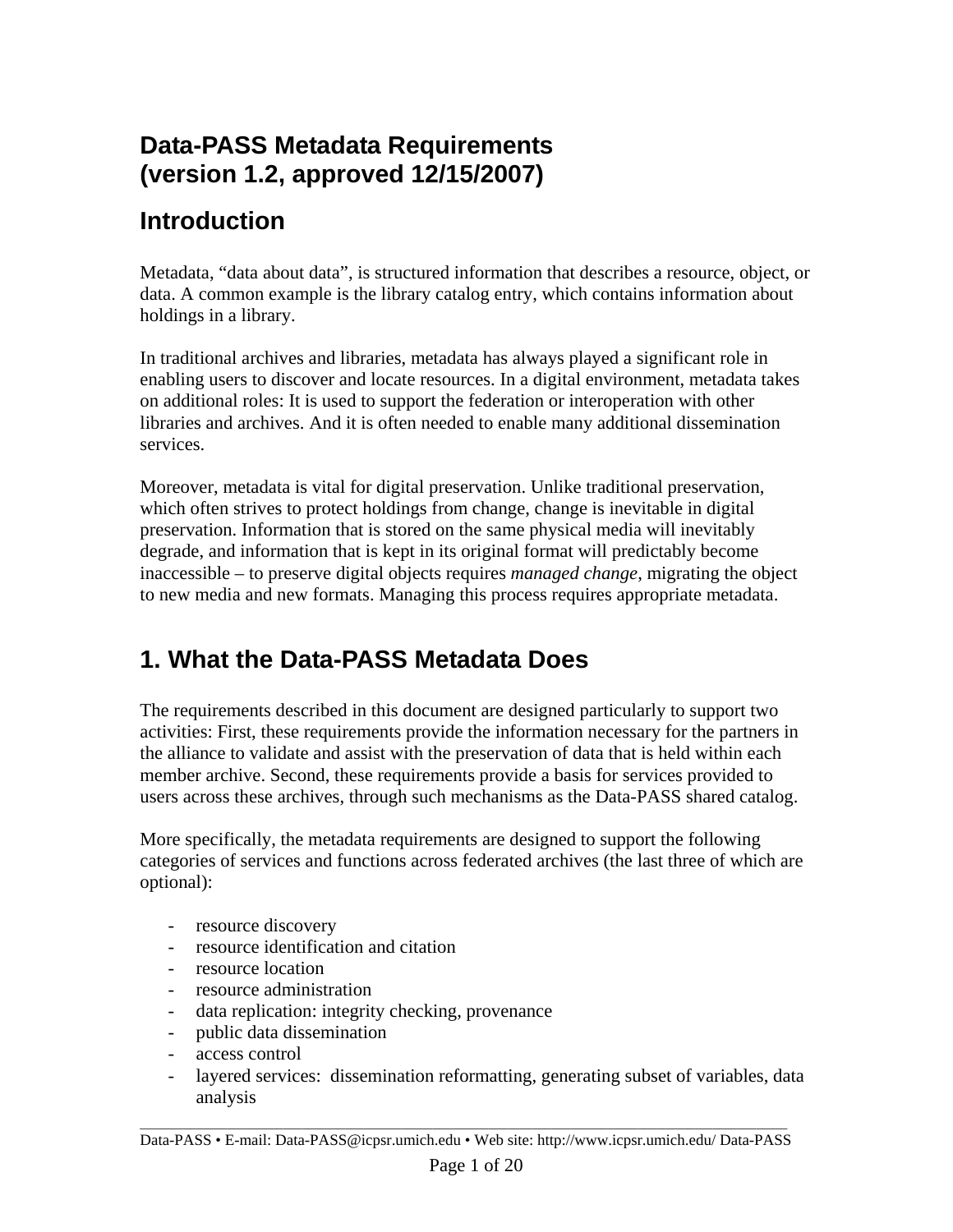## **Data-PASS Metadata Requirements (version 1.2, approved 12/15/2007)**

## **Introduction**

Metadata, "data about data", is structured information that describes a resource, object, or data. A common example is the library catalog entry, which contains information about holdings in a library.

In traditional archives and libraries, metadata has always played a significant role in enabling users to discover and locate resources. In a digital environment, metadata takes on additional roles: It is used to support the federation or interoperation with other libraries and archives. And it is often needed to enable many additional dissemination services.

Moreover, metadata is vital for digital preservation. Unlike traditional preservation, which often strives to protect holdings from change, change is inevitable in digital preservation. Information that is stored on the same physical media will inevitably degrade, and information that is kept in its original format will predictably become inaccessible – to preserve digital objects requires *managed change*, migrating the object to new media and new formats. Managing this process requires appropriate metadata.

## **1. What the Data-PASS Metadata Does**

The requirements described in this document are designed particularly to support two activities: First, these requirements provide the information necessary for the partners in the alliance to validate and assist with the preservation of data that is held within each member archive. Second, these requirements provide a basis for services provided to users across these archives, through such mechanisms as the Data-PASS shared catalog.

More specifically, the metadata requirements are designed to support the following categories of services and functions across federated archives (the last three of which are optional):

- resource discovery
- resource identification and citation
- resource location
- resource administration
- data replication: integrity checking, provenance
- public data dissemination
- access control
- layered services: dissemination reformatting, generating subset of variables, data analysis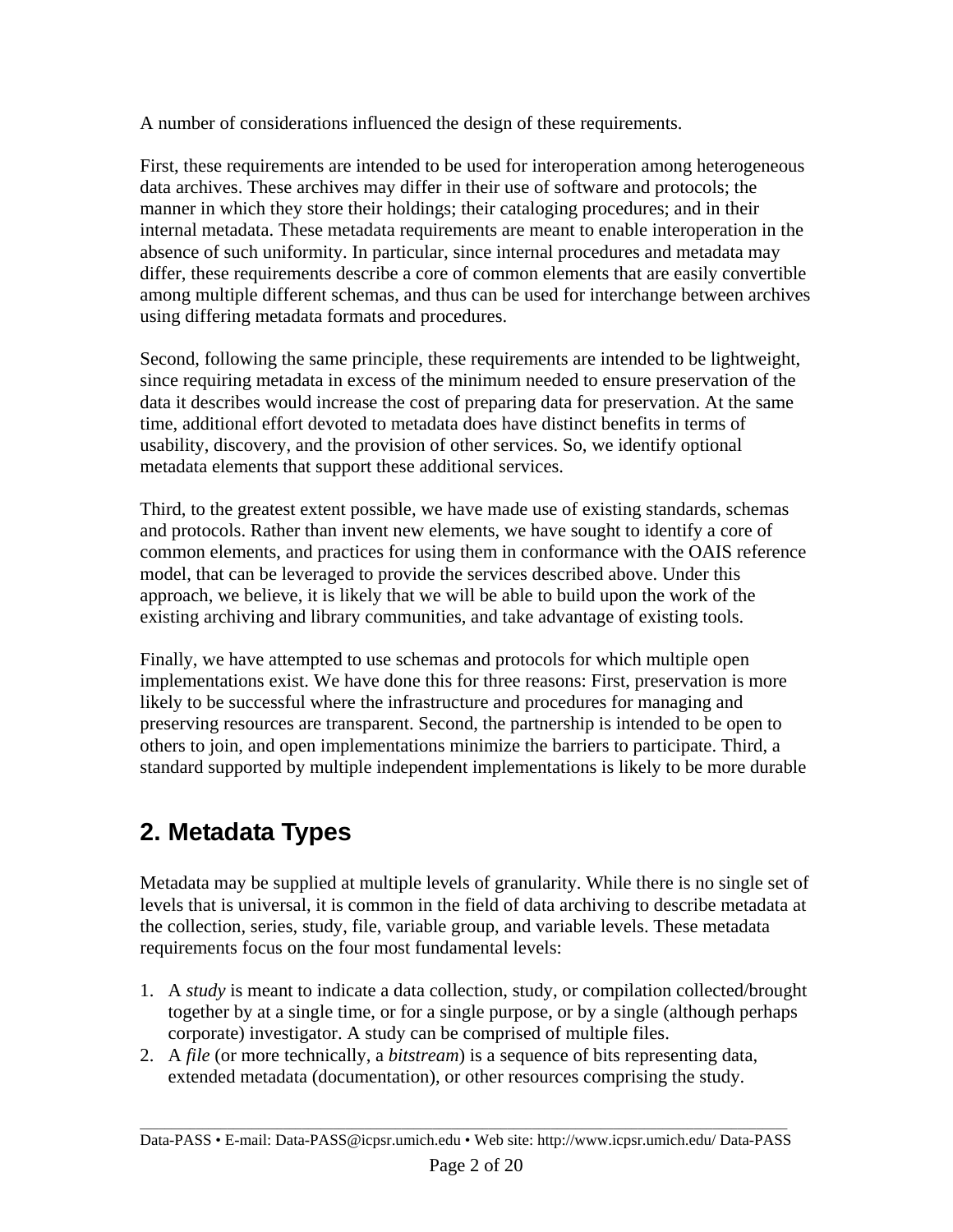A number of considerations influenced the design of these requirements.

First, these requirements are intended to be used for interoperation among heterogeneous data archives. These archives may differ in their use of software and protocols; the manner in which they store their holdings; their cataloging procedures; and in their internal metadata. These metadata requirements are meant to enable interoperation in the absence of such uniformity. In particular, since internal procedures and metadata may differ, these requirements describe a core of common elements that are easily convertible among multiple different schemas, and thus can be used for interchange between archives using differing metadata formats and procedures.

Second, following the same principle, these requirements are intended to be lightweight, since requiring metadata in excess of the minimum needed to ensure preservation of the data it describes would increase the cost of preparing data for preservation. At the same time, additional effort devoted to metadata does have distinct benefits in terms of usability, discovery, and the provision of other services. So, we identify optional metadata elements that support these additional services.

Third, to the greatest extent possible, we have made use of existing standards, schemas and protocols. Rather than invent new elements, we have sought to identify a core of common elements, and practices for using them in conformance with the OAIS reference model, that can be leveraged to provide the services described above. Under this approach, we believe, it is likely that we will be able to build upon the work of the existing archiving and library communities, and take advantage of existing tools.

Finally, we have attempted to use schemas and protocols for which multiple open implementations exist. We have done this for three reasons: First, preservation is more likely to be successful where the infrastructure and procedures for managing and preserving resources are transparent. Second, the partnership is intended to be open to others to join, and open implementations minimize the barriers to participate. Third, a standard supported by multiple independent implementations is likely to be more durable

# **2. Metadata Types**

Metadata may be supplied at multiple levels of granularity. While there is no single set of levels that is universal, it is common in the field of data archiving to describe metadata at the collection, series, study, file, variable group, and variable levels. These metadata requirements focus on the four most fundamental levels:

- 1. A *study* is meant to indicate a data collection, study, or compilation collected/brought together by at a single time, or for a single purpose, or by a single (although perhaps corporate) investigator. A study can be comprised of multiple files.
- 2. A *file* (or more technically, a *bitstream*) is a sequence of bits representing data, extended metadata (documentation), or other resources comprising the study.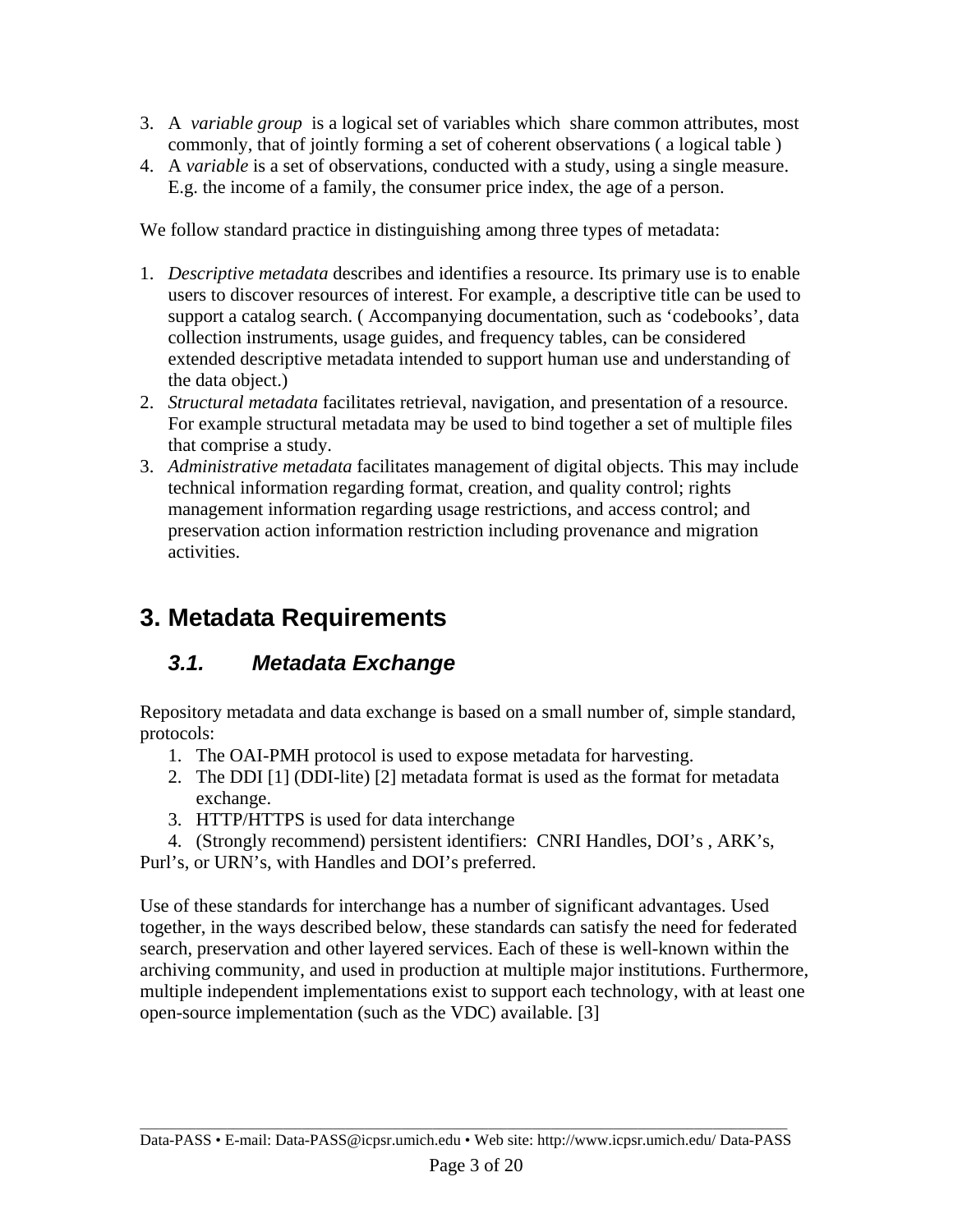- 3. A *variable group* is a logical set of variables which share common attributes, most commonly, that of jointly forming a set of coherent observations ( a logical table )
- 4. A *variable* is a set of observations, conducted with a study, using a single measure. E.g. the income of a family, the consumer price index, the age of a person.

We follow standard practice in distinguishing among three types of metadata:

- 1. *Descriptive metadata* describes and identifies a resource. Its primary use is to enable users to discover resources of interest. For example, a descriptive title can be used to support a catalog search. ( Accompanying documentation, such as 'codebooks', data collection instruments, usage guides, and frequency tables, can be considered extended descriptive metadata intended to support human use and understanding of the data object.)
- 2. *Structural metadata* facilitates retrieval, navigation, and presentation of a resource. For example structural metadata may be used to bind together a set of multiple files that comprise a study.
- 3. *Administrative metadata* facilitates management of digital objects. This may include technical information regarding format, creation, and quality control; rights management information regarding usage restrictions, and access control; and preservation action information restriction including provenance and migration activities.

## **3. Metadata Requirements**

### *3.1. Metadata Exchange*

Repository metadata and data exchange is based on a small number of, simple standard, protocols:

- 1. The OAI-PMH protocol is used to expose metadata for harvesting.
- 2. The DDI [1] (DDI-lite) [2] metadata format is used as the format for metadata exchange.
- 3. HTTP/HTTPS is used for data interchange
- 4. (Strongly recommend) persistent identifiers: CNRI Handles, DOI's , ARK's,

Purl's, or URN's, with Handles and DOI's preferred.

Use of these standards for interchange has a number of significant advantages. Used together, in the ways described below, these standards can satisfy the need for federated search, preservation and other layered services. Each of these is well-known within the archiving community, and used in production at multiple major institutions. Furthermore, multiple independent implementations exist to support each technology, with at least one open-source implementation (such as the VDC) available. [3]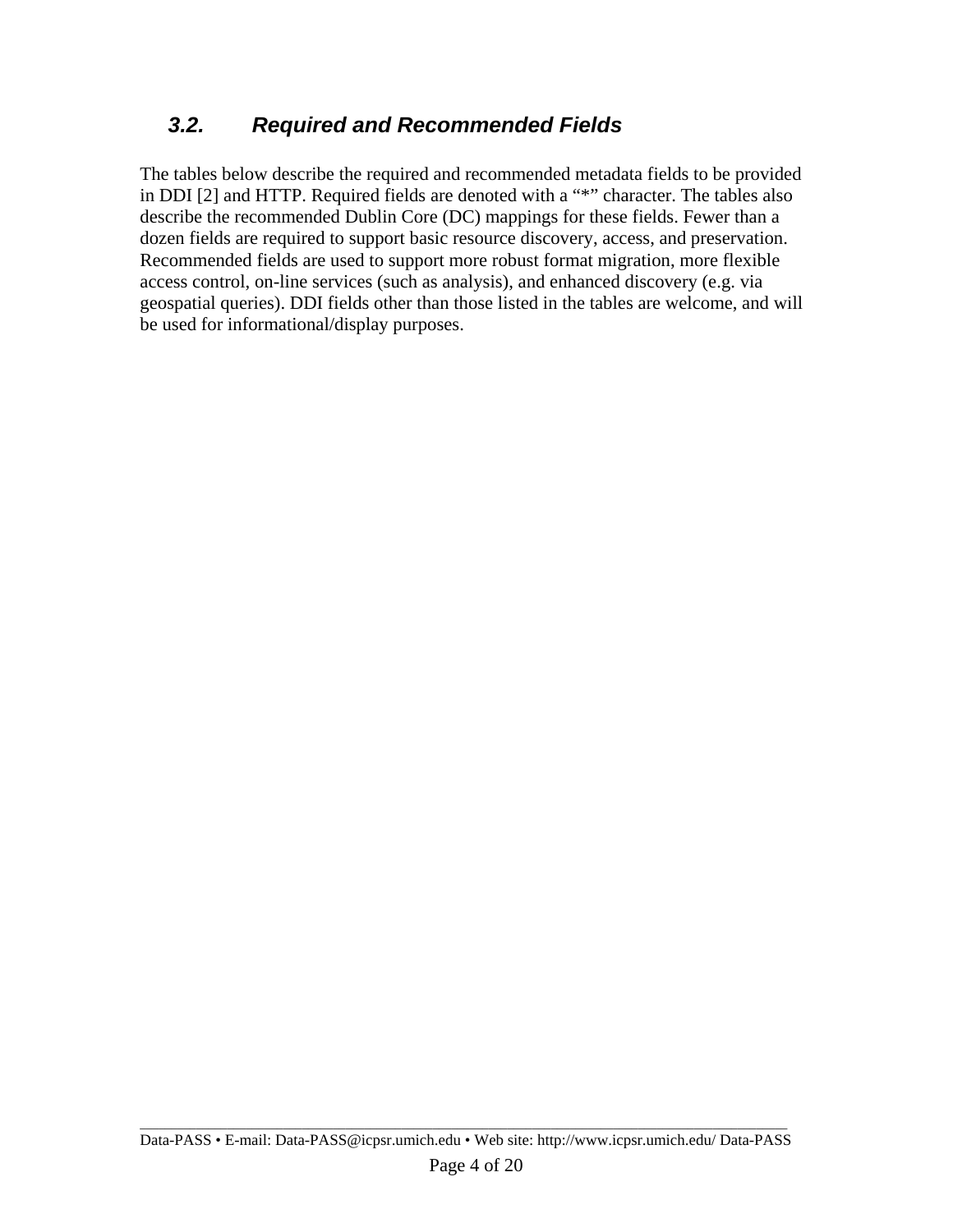### *3.2. Required and Recommended Fields*

The tables below describe the required and recommended metadata fields to be provided in DDI [2] and HTTP. Required fields are denoted with a "\*" character. The tables also describe the recommended Dublin Core (DC) mappings for these fields. Fewer than a dozen fields are required to support basic resource discovery, access, and preservation. Recommended fields are used to support more robust format migration, more flexible access control, on-line services (such as analysis), and enhanced discovery (e.g. via geospatial queries). DDI fields other than those listed in the tables are welcome, and will be used for informational/display purposes.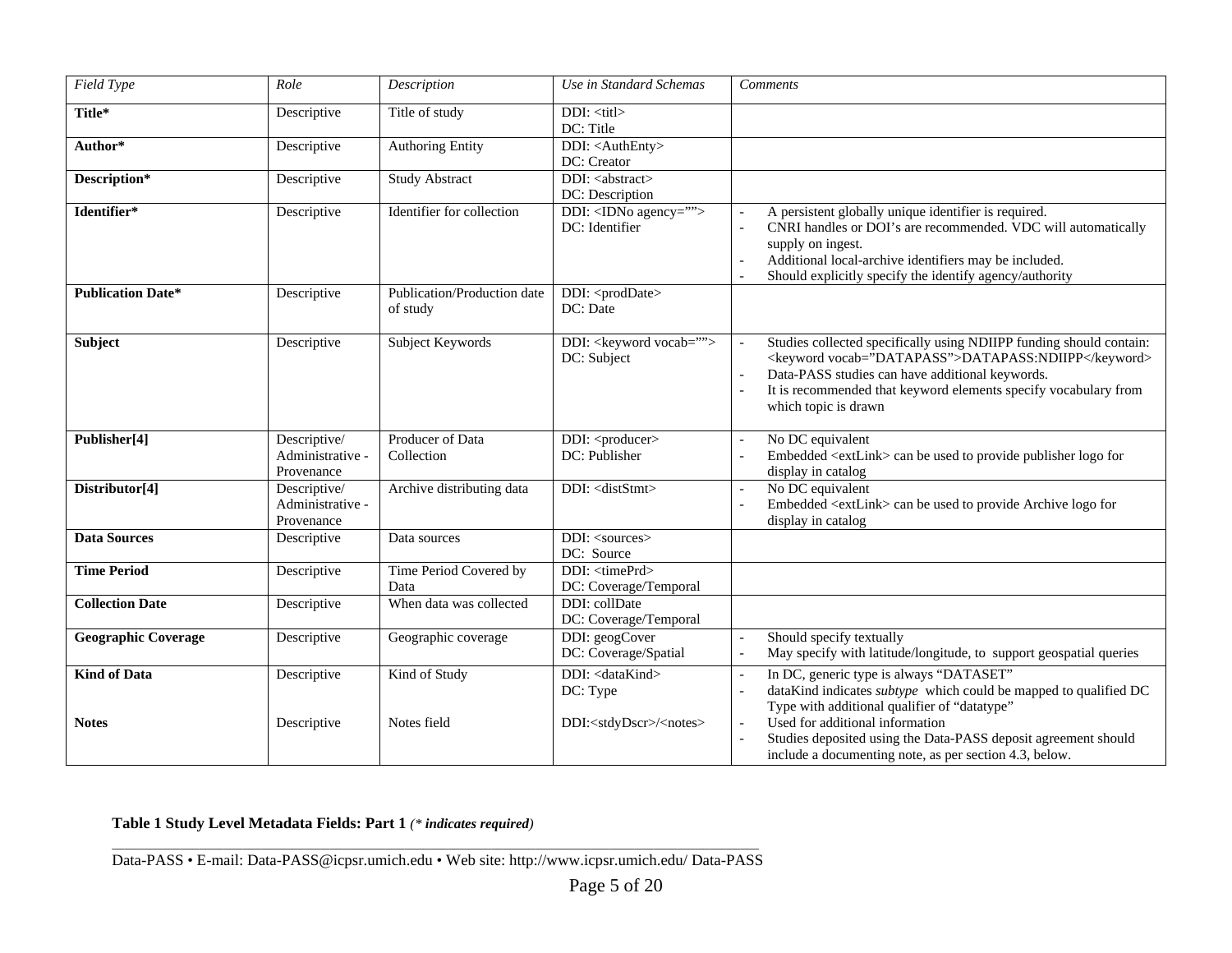| <b>Field Type</b>                   | Role                                           | Description                             | Use in Standard Schemas                                                               | <b>Comments</b>                                                                                                                                                                                                                                                                                                                                     |
|-------------------------------------|------------------------------------------------|-----------------------------------------|---------------------------------------------------------------------------------------|-----------------------------------------------------------------------------------------------------------------------------------------------------------------------------------------------------------------------------------------------------------------------------------------------------------------------------------------------------|
| Title*                              | Descriptive                                    | Title of study                          | DDI: <titl><br/>DC: Title</titl>                                                      |                                                                                                                                                                                                                                                                                                                                                     |
| Author*                             | Descriptive                                    | Authoring Entity                        | DDI: <authenty><br/>DC: Creator</authenty>                                            |                                                                                                                                                                                                                                                                                                                                                     |
| Description*                        | Descriptive                                    | Study Abstract                          | DDI: <abstract><br/>DC: Description</abstract>                                        |                                                                                                                                                                                                                                                                                                                                                     |
| Identifier*                         | Descriptive                                    | Identifier for collection               | DDI: <idno agency=""><br/>DC: Identifier</idno>                                       | A persistent globally unique identifier is required.<br>CNRI handles or DOI's are recommended. VDC will automatically<br>supply on ingest.<br>Additional local-archive identifiers may be included.<br>Should explicitly specify the identify agency/authority                                                                                      |
| <b>Publication Date*</b>            | Descriptive                                    | Publication/Production date<br>of study | DDI: <proddate><br/>DC: Date</proddate>                                               |                                                                                                                                                                                                                                                                                                                                                     |
| Subject                             | Descriptive                                    | Subject Keywords                        | DDI: < keyword vocab=""><br>DC: Subject                                               | Studies collected specifically using NDIIPP funding should contain:<br><keyword vocab="DATAPASS">DATAPASS:NDIIPP</keyword><br>Data-PASS studies can have additional keywords.<br>It is recommended that keyword elements specify vocabulary from<br>which topic is drawn                                                                            |
| Publisher[4]                        | Descriptive/<br>Administrative -<br>Provenance | Producer of Data<br>Collection          | DDI: <producer><br/>DC: Publisher</producer>                                          | No DC equivalent<br>$\overline{a}$<br>Embedded <extlink> can be used to provide publisher logo for<br/>display in catalog</extlink>                                                                                                                                                                                                                 |
| Distributor[4]                      | Descriptive/<br>Administrative -<br>Provenance | Archive distributing data               | DDI: <diststmt></diststmt>                                                            | No DC equivalent<br>Embedded <extlink> can be used to provide Archive logo for<br/>display in catalog</extlink>                                                                                                                                                                                                                                     |
| <b>Data Sources</b>                 | Descriptive                                    | Data sources                            | DDI: <sources><br/>DC: Source</sources>                                               |                                                                                                                                                                                                                                                                                                                                                     |
| <b>Time Period</b>                  | Descriptive                                    | Time Period Covered by<br>Data          | DDI: <timeprd><br/>DC: Coverage/Temporal</timeprd>                                    |                                                                                                                                                                                                                                                                                                                                                     |
| <b>Collection Date</b>              | Descriptive                                    | When data was collected                 | DDI: collDate<br>DC: Coverage/Temporal                                                |                                                                                                                                                                                                                                                                                                                                                     |
| <b>Geographic Coverage</b>          | Descriptive                                    | Geographic coverage                     | DDI: geogCover<br>DC: Coverage/Spatial                                                | Should specify textually<br>May specify with latitude/longitude, to support geospatial queries                                                                                                                                                                                                                                                      |
| <b>Kind of Data</b><br><b>Notes</b> | Descriptive<br>Descriptive                     | Kind of Study<br>Notes field            | DDI: <datakind><br/>DC: Type<br/>DDI:<stdydscr>/<notes></notes></stdydscr></datakind> | In DC, generic type is always "DATASET"<br>$\overline{a}$<br>dataKind indicates <i>subtype</i> which could be mapped to qualified DC<br>Type with additional qualifier of "datatype"<br>Used for additional information<br>Studies deposited using the Data-PASS deposit agreement should<br>include a documenting note, as per section 4.3, below. |

#### **Table 1 Study Level Metadata Fields: Part 1** *(\* indicates required)*

Data-PASS • E-mail: Data-PASS@icpsr.umich.edu • Web site: http://www.icpsr.umich.edu/ Data-PASS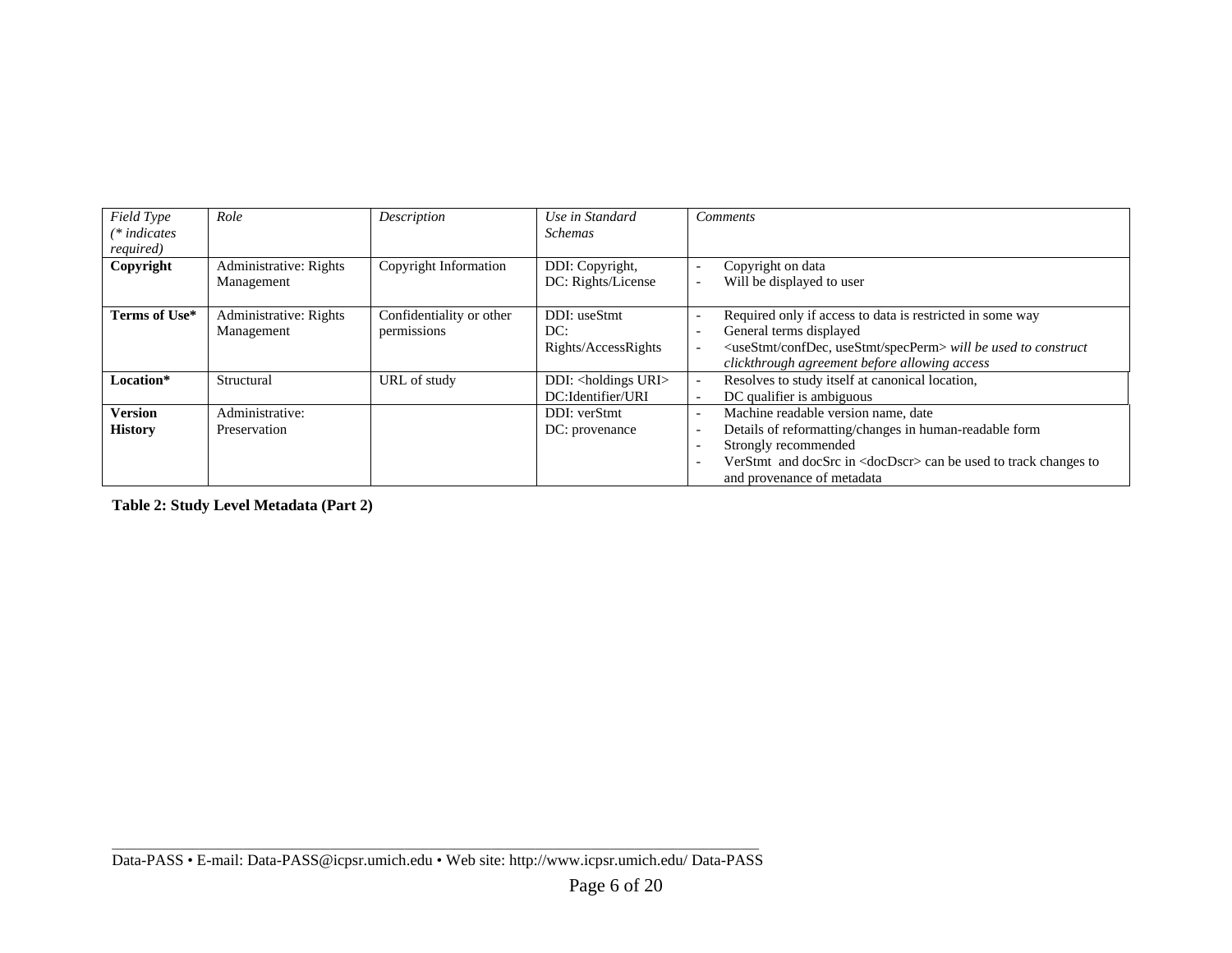| Field Type<br>$(*indicates)$<br>required) | Role                                 | Description                             | Use in Standard<br><b>Schemas</b>                       | <b>Comments</b>                                                                                                                                                                                                                                                                                                                                               |
|-------------------------------------------|--------------------------------------|-----------------------------------------|---------------------------------------------------------|---------------------------------------------------------------------------------------------------------------------------------------------------------------------------------------------------------------------------------------------------------------------------------------------------------------------------------------------------------------|
| Copyright                                 | Administrative: Rights<br>Management | Copyright Information                   | DDI: Copyright,<br>DC: Rights/License                   | Copyright on data<br>$\overline{\phantom{a}}$<br>Will be displayed to user<br>$\overline{\phantom{a}}$                                                                                                                                                                                                                                                        |
| Terms of Use*                             | Administrative: Rights<br>Management | Confidentiality or other<br>permissions | DDI: useStmt<br>DC:<br>Rights/AccessRights              | Required only if access to data is restricted in some way<br>$\overline{\phantom{a}}$<br>General terms displayed<br>$\overline{\phantom{a}}$<br><usestmt confdec,="" specperm="" usestmt=""> will be used to construct<br/><math display="inline">\overline{\phantom{a}}</math><br/>clickthrough agreement before allowing access</usestmt>                   |
| Location*                                 | Structural                           | URL of study                            | DDI: <holdings uri=""><br/>DC:Identifier/URI</holdings> | Resolves to study itself at canonical location,<br>$\overline{\phantom{a}}$<br>DC qualifier is ambiguous<br><b>.</b>                                                                                                                                                                                                                                          |
| <b>Version</b><br><b>History</b>          | Administrative:<br>Preservation      |                                         | DDI: verStmt<br>DC: provenance                          | Machine readable version name, date<br>$\overline{\phantom{a}}$<br>Details of reformatting/changes in human-readable form<br>$\overline{\phantom{a}}$<br>Strongly recommended<br>$\overline{\phantom{a}}$<br>VerStmt and docSrc in <docdscr> can be used to track changes to<br/><math>\overline{\phantom{a}}</math><br/>and provenance of metadata</docdscr> |

**Table 2: Study Level Metadata (Part 2)**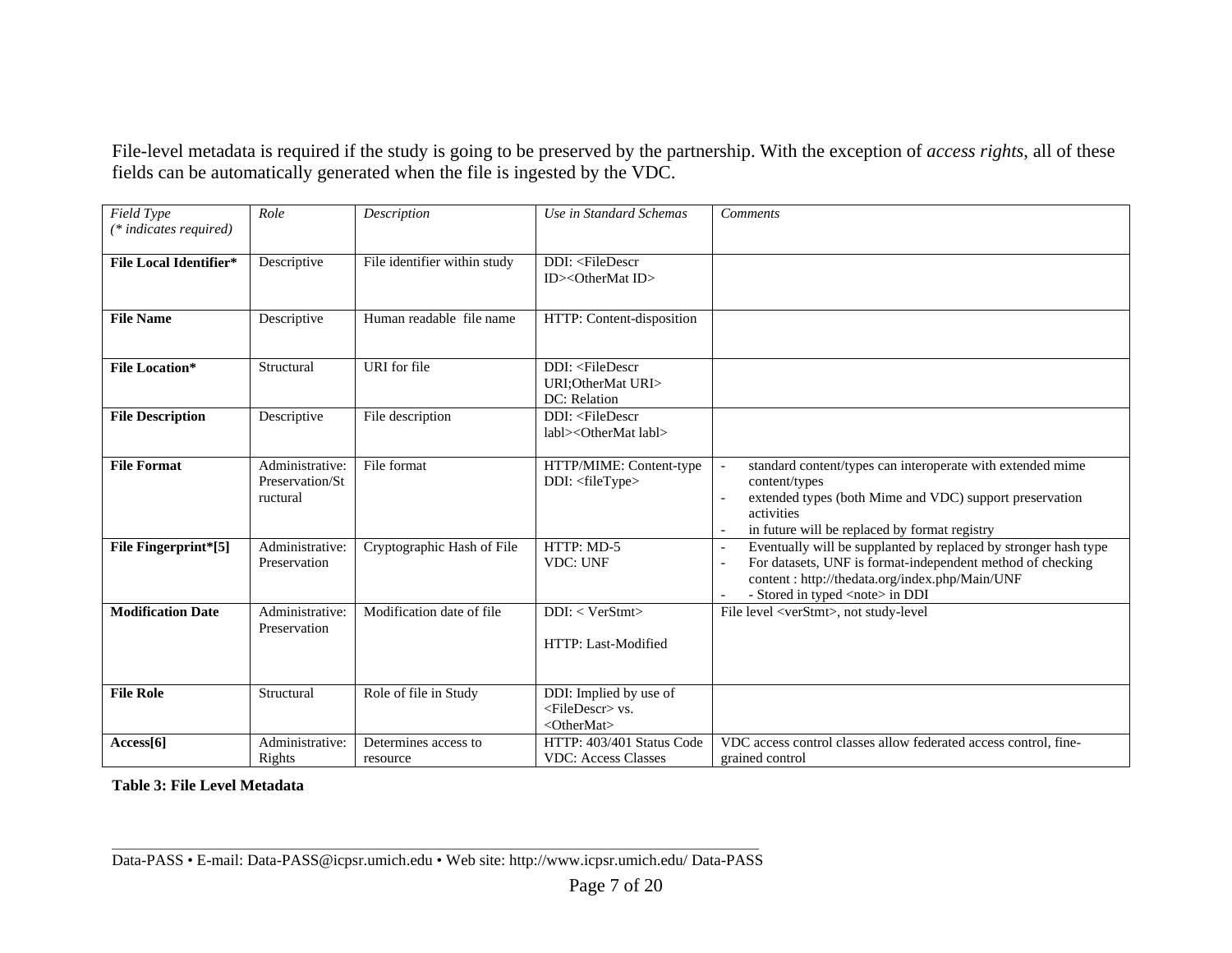File-level metadata is required if the study is going to be preserved by the partnership. With the exception of *access rights*, all of these fields can be automatically generated when the file is ingested by the VDC.

| Field Type<br>$(*indicates required)$ | Role                                           | Description                      | Use in Standard Schemas                                                                                 | <b>Comments</b>                                                                                                                                                                                                           |
|---------------------------------------|------------------------------------------------|----------------------------------|---------------------------------------------------------------------------------------------------------|---------------------------------------------------------------------------------------------------------------------------------------------------------------------------------------------------------------------------|
| <b>File Local Identifier*</b>         | Descriptive                                    | File identifier within study     | DDI: <filedescr<br>ID&gt;<othermat id=""></othermat></filedescr<br>                                     |                                                                                                                                                                                                                           |
| <b>File Name</b>                      | Descriptive                                    | Human readable file name         | HTTP: Content-disposition                                                                               |                                                                                                                                                                                                                           |
| <b>File Location*</b>                 | Structural                                     | URI for file                     | DDI: <filedescr<br>URI; Other Mat URI&gt;<br/>DC: Relation</filedescr<br>                               |                                                                                                                                                                                                                           |
| <b>File Description</b>               | Descriptive                                    | File description                 | DDI: <filedescr<br>labl&gt;<othermat labl=""></othermat></filedescr<br>                                 |                                                                                                                                                                                                                           |
| <b>File Format</b>                    | Administrative:<br>Preservation/St<br>ructural | File format                      | HTTP/MIME: Content-type<br>DDI: <filetype></filetype>                                                   | standard content/types can interoperate with extended mime<br>content/types<br>extended types (both Mime and VDC) support preservation<br>activities<br>in future will be replaced by format registry                     |
| File Fingerprint*[5]                  | Administrative:<br>Preservation                | Cryptographic Hash of File       | HTTP: MD-5<br><b>VDC: UNF</b>                                                                           | Eventually will be supplanted by replaced by stronger hash type<br>For datasets, UNF is format-independent method of checking<br>content: http://thedata.org/index.php/Main/UNF<br>- Stored in typed <note> in DDI</note> |
| <b>Modification Date</b>              | Administrative:<br>Preservation                | Modification date of file        | DDI: < VerStmt><br>HTTP: Last-Modified                                                                  | File level <verstmt>, not study-level</verstmt>                                                                                                                                                                           |
| <b>File Role</b>                      | Structural                                     | Role of file in Study            | DDI: Implied by use of<br><filedescr> vs.<br/><math>\langle</math>OtherMat<math>&gt;</math></filedescr> |                                                                                                                                                                                                                           |
| Access[6]                             | Administrative:<br>Rights                      | Determines access to<br>resource | HTTP: 403/401 Status Code<br><b>VDC: Access Classes</b>                                                 | VDC access control classes allow federated access control, fine-<br>grained control                                                                                                                                       |

**Table 3: File Level Metadata**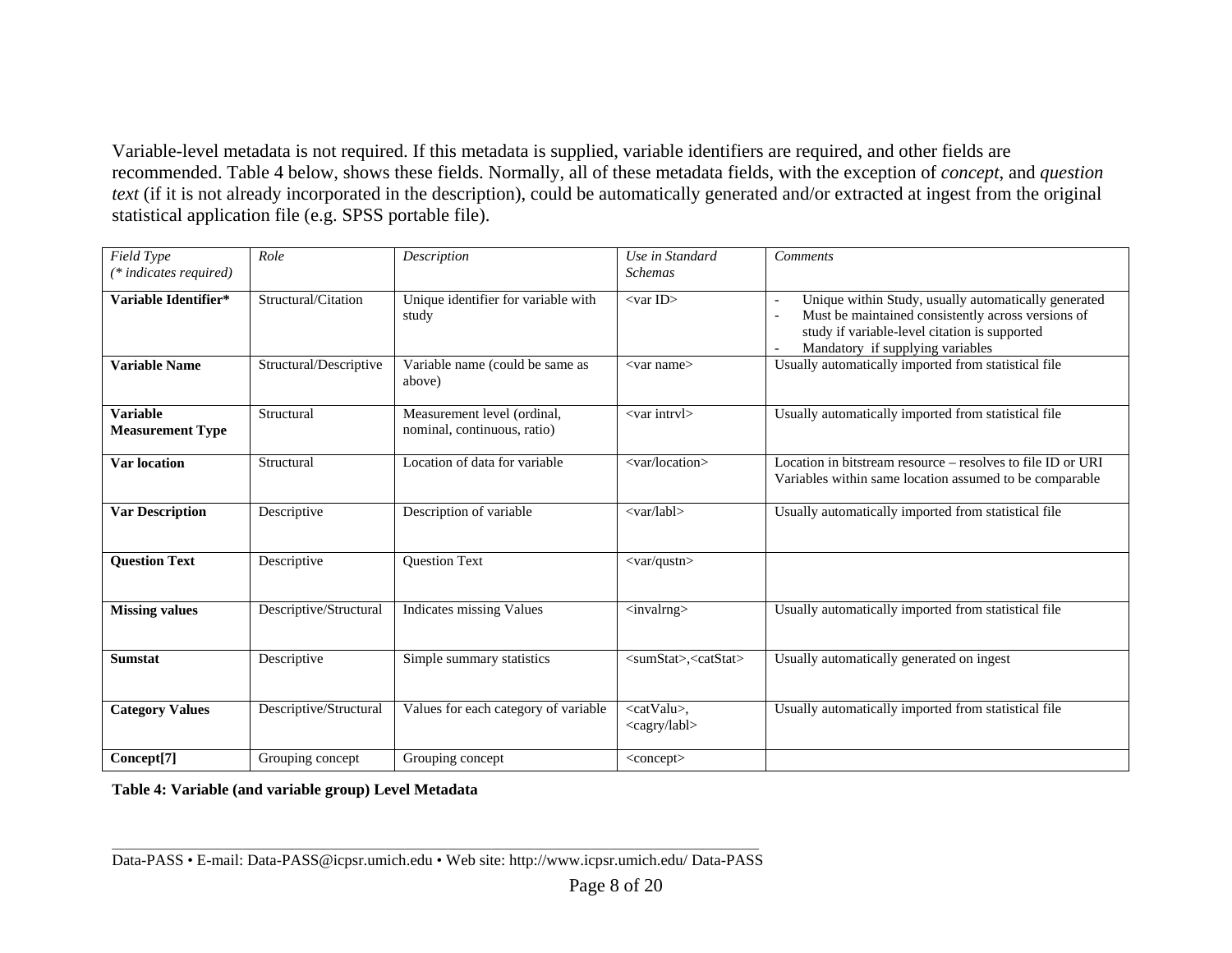Variable-level metadata is not required. If this metadata is supplied, variable identifiers are required, and other fields are recommended. Table 4 below, shows these fields. Normally, all of these metadata fields, with the exception of *concept*, and *question text* (if it is not already incorporated in the description), could be automatically generated and/or extracted at ingest from the original statistical application file (e.g. SPSS portable file).

| Field Type                                 | Role                   | Description                                                | Use in Standard                                  | Comments                                                                                                                                                                                                                    |
|--------------------------------------------|------------------------|------------------------------------------------------------|--------------------------------------------------|-----------------------------------------------------------------------------------------------------------------------------------------------------------------------------------------------------------------------------|
| (* indicates required)                     |                        |                                                            | <b>Schemas</b>                                   |                                                                                                                                                                                                                             |
| Variable Identifier*                       | Structural/Citation    | Unique identifier for variable with<br>study               | $<$ var ID $>$                                   | Unique within Study, usually automatically generated<br>$\overline{\phantom{a}}$<br>Must be maintained consistently across versions of<br>study if variable-level citation is supported<br>Mandatory if supplying variables |
| <b>Variable Name</b>                       | Structural/Descriptive | Variable name (could be same as<br>above)                  | <var name=""></var>                              | Usually automatically imported from statistical file                                                                                                                                                                        |
| <b>Variable</b><br><b>Measurement Type</b> | Structural             | Measurement level (ordinal,<br>nominal, continuous, ratio) | <var intrvl=""></var>                            | Usually automatically imported from statistical file                                                                                                                                                                        |
| <b>Var location</b>                        | Structural             | Location of data for variable                              | <var location=""></var>                          | Location in bitstream resource – resolves to file ID or URI<br>Variables within same location assumed to be comparable                                                                                                      |
| <b>Var Description</b>                     | Descriptive            | Description of variable                                    | $\langle \text{var/lab} \rangle$                 | Usually automatically imported from statistical file                                                                                                                                                                        |
| <b>Question Text</b>                       | Descriptive            | <b>Question Text</b>                                       | $\langle var/qustn \rangle$                      |                                                                                                                                                                                                                             |
| <b>Missing values</b>                      | Descriptive/Structural | Indicates missing Values                                   | <invalrng></invalrng>                            | Usually automatically imported from statistical file                                                                                                                                                                        |
| <b>Sumstat</b>                             | Descriptive            | Simple summary statistics                                  | <sumstat>,<catstat></catstat></sumstat>          | Usually automatically generated on ingest                                                                                                                                                                                   |
| <b>Category Values</b>                     | Descriptive/Structural | Values for each category of variable                       | <catvalu>,<br/><cagry labl=""></cagry></catvalu> | Usually automatically imported from statistical file                                                                                                                                                                        |
| Concept[7]                                 | Grouping concept       | Grouping concept                                           | $\langle concept \rangle$                        |                                                                                                                                                                                                                             |

**Table 4: Variable (and variable group) Level Metadata**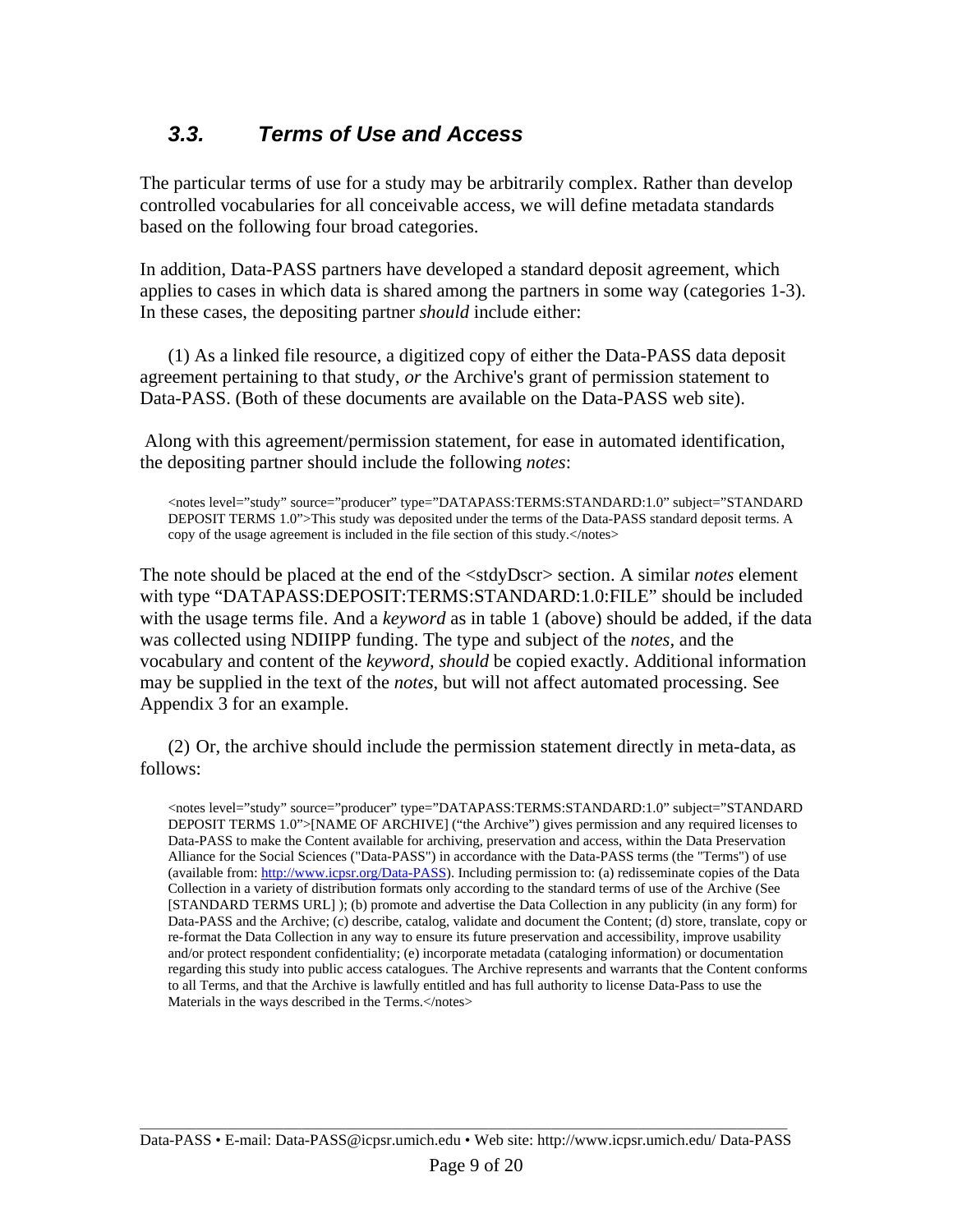### *3.3. Terms of Use and Access*

The particular terms of use for a study may be arbitrarily complex. Rather than develop controlled vocabularies for all conceivable access, we will define metadata standards based on the following four broad categories.

In addition, Data-PASS partners have developed a standard deposit agreement, which applies to cases in which data is shared among the partners in some way (categories 1-3). In these cases, the depositing partner *should* include either:

(1) As a linked file resource, a digitized copy of either the Data-PASS data deposit agreement pertaining to that study, *or* the Archive's grant of permission statement to Data-PASS. (Both of these documents are available on the Data-PASS web site).

 Along with this agreement/permission statement, for ease in automated identification, the depositing partner should include the following *notes*:

<notes level="study" source="producer" type="DATAPASS:TERMS:STANDARD:1.0" subject="STANDARD DEPOSIT TERMS 1.0">This study was deposited under the terms of the Data-PASS standard deposit terms. A copy of the usage agreement is included in the file section of this study.</notes>

The note should be placed at the end of the <stdyDscr> section. A similar *notes* element with type "DATAPASS:DEPOSIT:TERMS:STANDARD:1.0:FILE" should be included with the usage terms file. And a *keyword* as in table 1 (above) should be added, if the data was collected using NDIIPP funding. The type and subject of the *notes,* and the vocabulary and content of the *keyword, should* be copied exactly. Additional information may be supplied in the text of the *notes*, but will not affect automated processing. See Appendix 3 for an example.

(2) Or, the archive should include the permission statement directly in meta-data, as follows:

<notes level="study" source="producer" type="DATAPASS:TERMS:STANDARD:1.0" subject="STANDARD DEPOSIT TERMS 1.0">[NAME OF ARCHIVE] ("the Archive") gives permission and any required licenses to Data-PASS to make the Content available for archiving, preservation and access, within the Data Preservation Alliance for the Social Sciences ("Data-PASS") in accordance with the Data-PASS terms (the "Terms") of use (available from: http://www.icpsr.org/Data-PASS). Including permission to: (a) redisseminate copies of the Data Collection in a variety of distribution formats only according to the standard terms of use of the Archive (See [STANDARD TERMS URL] ); (b) promote and advertise the Data Collection in any publicity (in any form) for Data-PASS and the Archive; (c) describe, catalog, validate and document the Content; (d) store, translate, copy or re-format the Data Collection in any way to ensure its future preservation and accessibility, improve usability and/or protect respondent confidentiality; (e) incorporate metadata (cataloging information) or documentation regarding this study into public access catalogues. The Archive represents and warrants that the Content conforms to all Terms, and that the Archive is lawfully entitled and has full authority to license Data-Pass to use the Materials in the ways described in the Terms.</notes>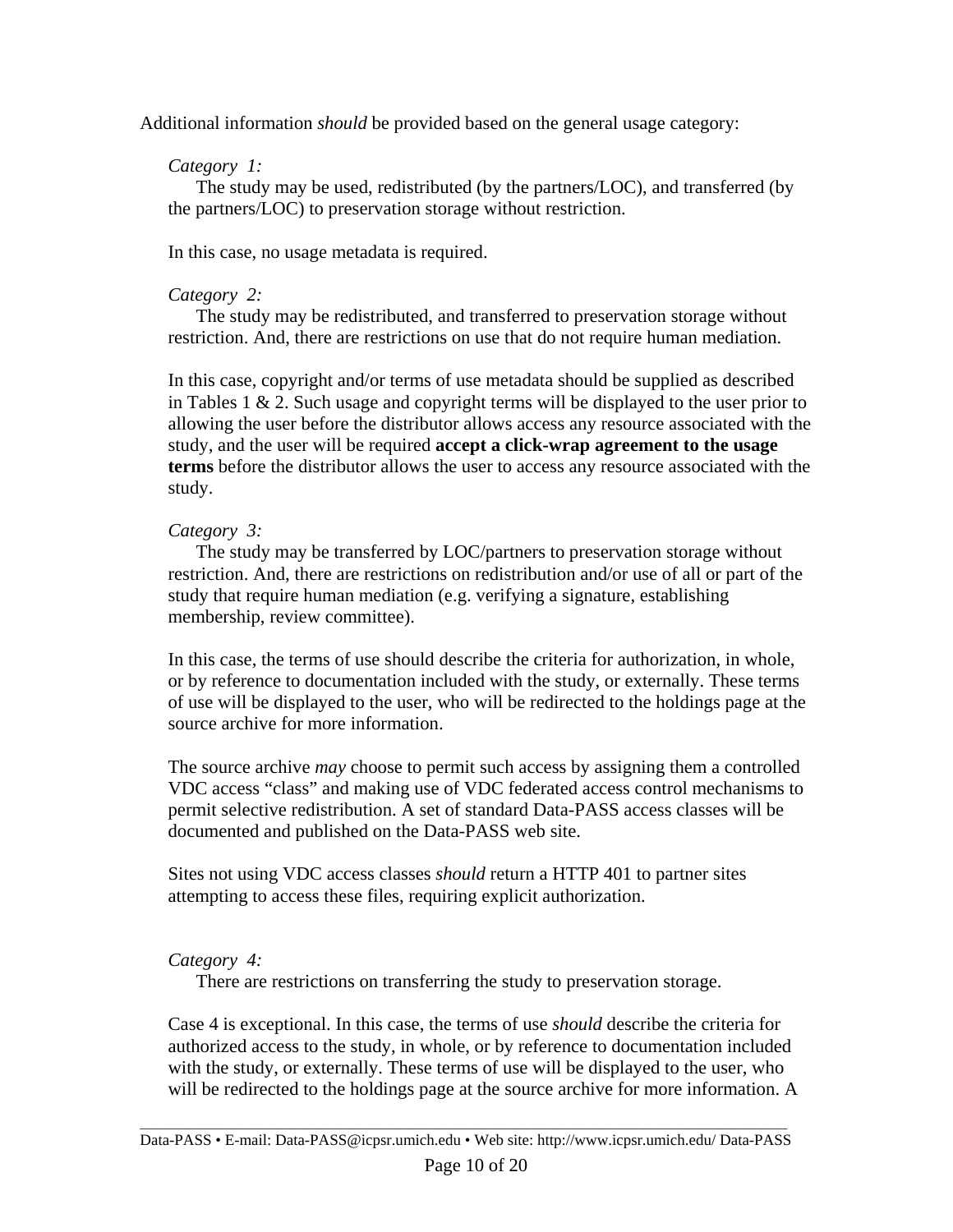Additional information *should* be provided based on the general usage category:

#### *Category 1:*

The study may be used, redistributed (by the partners/LOC), and transferred (by the partners/LOC) to preservation storage without restriction.

In this case, no usage metadata is required.

### *Category 2:*

The study may be redistributed, and transferred to preservation storage without restriction. And, there are restrictions on use that do not require human mediation.

In this case, copyright and/or terms of use metadata should be supplied as described in Tables 1  $& 2$ . Such usage and copyright terms will be displayed to the user prior to allowing the user before the distributor allows access any resource associated with the study, and the user will be required **accept a click-wrap agreement to the usage terms** before the distributor allows the user to access any resource associated with the study.

### *Category 3:*

The study may be transferred by LOC/partners to preservation storage without restriction. And, there are restrictions on redistribution and/or use of all or part of the study that require human mediation (e.g. verifying a signature, establishing membership, review committee).

In this case, the terms of use should describe the criteria for authorization, in whole, or by reference to documentation included with the study, or externally. These terms of use will be displayed to the user, who will be redirected to the holdings page at the source archive for more information.

The source archive *may* choose to permit such access by assigning them a controlled VDC access "class" and making use of VDC federated access control mechanisms to permit selective redistribution. A set of standard Data-PASS access classes will be documented and published on the Data-PASS web site.

Sites not using VDC access classes *should* return a HTTP 401 to partner sites attempting to access these files, requiring explicit authorization.

### *Category 4:*

There are restrictions on transferring the study to preservation storage.

Case 4 is exceptional. In this case, the terms of use *should* describe the criteria for authorized access to the study, in whole, or by reference to documentation included with the study, or externally. These terms of use will be displayed to the user, who will be redirected to the holdings page at the source archive for more information. A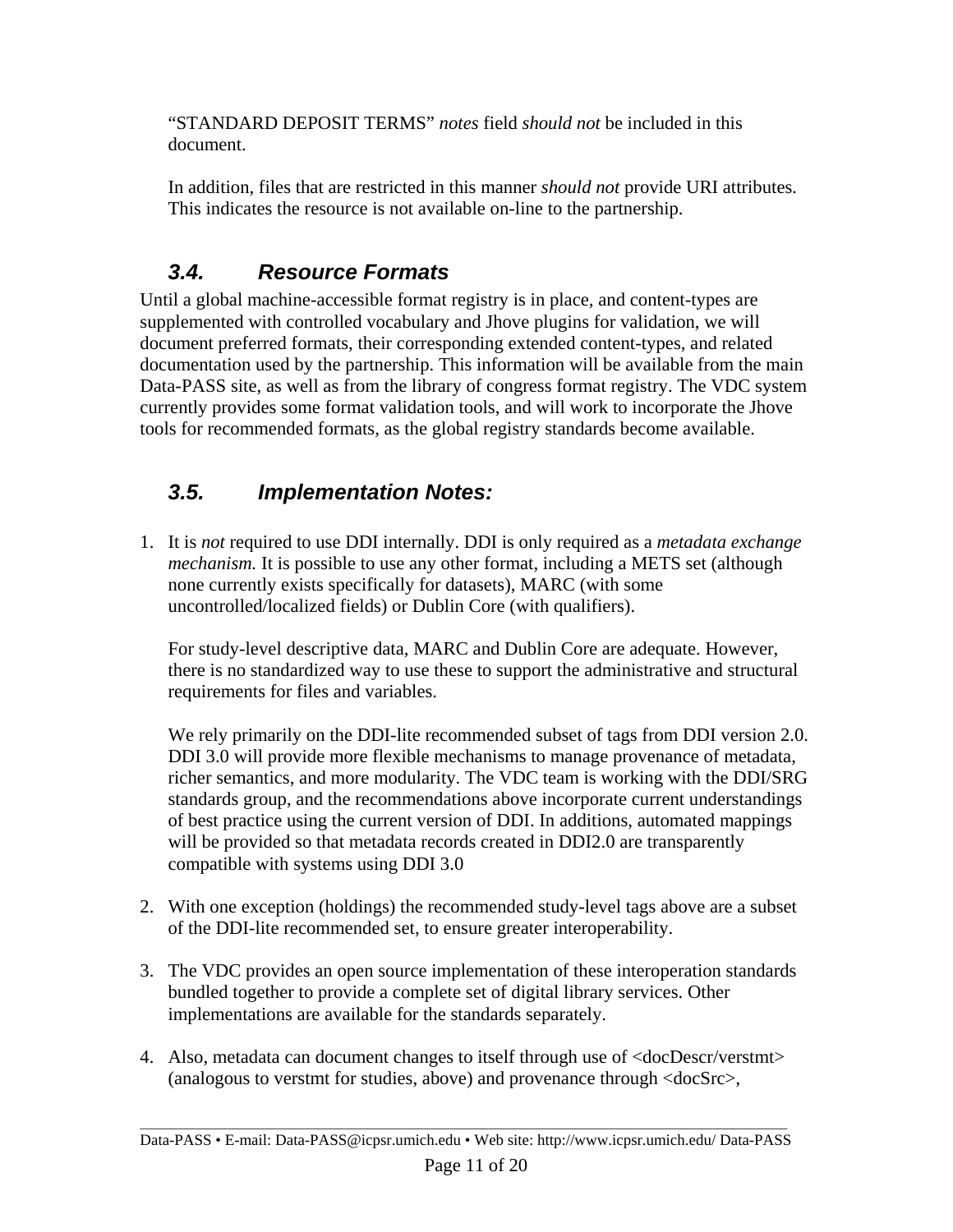"STANDARD DEPOSIT TERMS" *notes* field *should not* be included in this document.

In addition, files that are restricted in this manner *should not* provide URI attributes. This indicates the resource is not available on-line to the partnership.

### *3.4. Resource Formats*

Until a global machine-accessible format registry is in place, and content-types are supplemented with controlled vocabulary and Jhove plugins for validation, we will document preferred formats, their corresponding extended content-types, and related documentation used by the partnership. This information will be available from the main Data-PASS site, as well as from the library of congress format registry. The VDC system currently provides some format validation tools, and will work to incorporate the Jhove tools for recommended formats, as the global registry standards become available.

### *3.5. Implementation Notes:*

1. It is *not* required to use DDI internally. DDI is only required as a *metadata exchange mechanism.* It is possible to use any other format, including a METS set (although none currently exists specifically for datasets), MARC (with some uncontrolled/localized fields) or Dublin Core (with qualifiers).

For study-level descriptive data, MARC and Dublin Core are adequate. However, there is no standardized way to use these to support the administrative and structural requirements for files and variables.

We rely primarily on the DDI-lite recommended subset of tags from DDI version 2.0. DDI 3.0 will provide more flexible mechanisms to manage provenance of metadata, richer semantics, and more modularity. The VDC team is working with the DDI/SRG standards group, and the recommendations above incorporate current understandings of best practice using the current version of DDI. In additions, automated mappings will be provided so that metadata records created in DDI2.0 are transparently compatible with systems using DDI 3.0

- 2. With one exception (holdings) the recommended study-level tags above are a subset of the DDI-lite recommended set, to ensure greater interoperability.
- 3. The VDC provides an open source implementation of these interoperation standards bundled together to provide a complete set of digital library services. Other implementations are available for the standards separately.
- 4. Also, metadata can document changes to itself through use of <docDescr/verstmt> (analogous to verstmt for studies, above) and provenance through <docSrc>,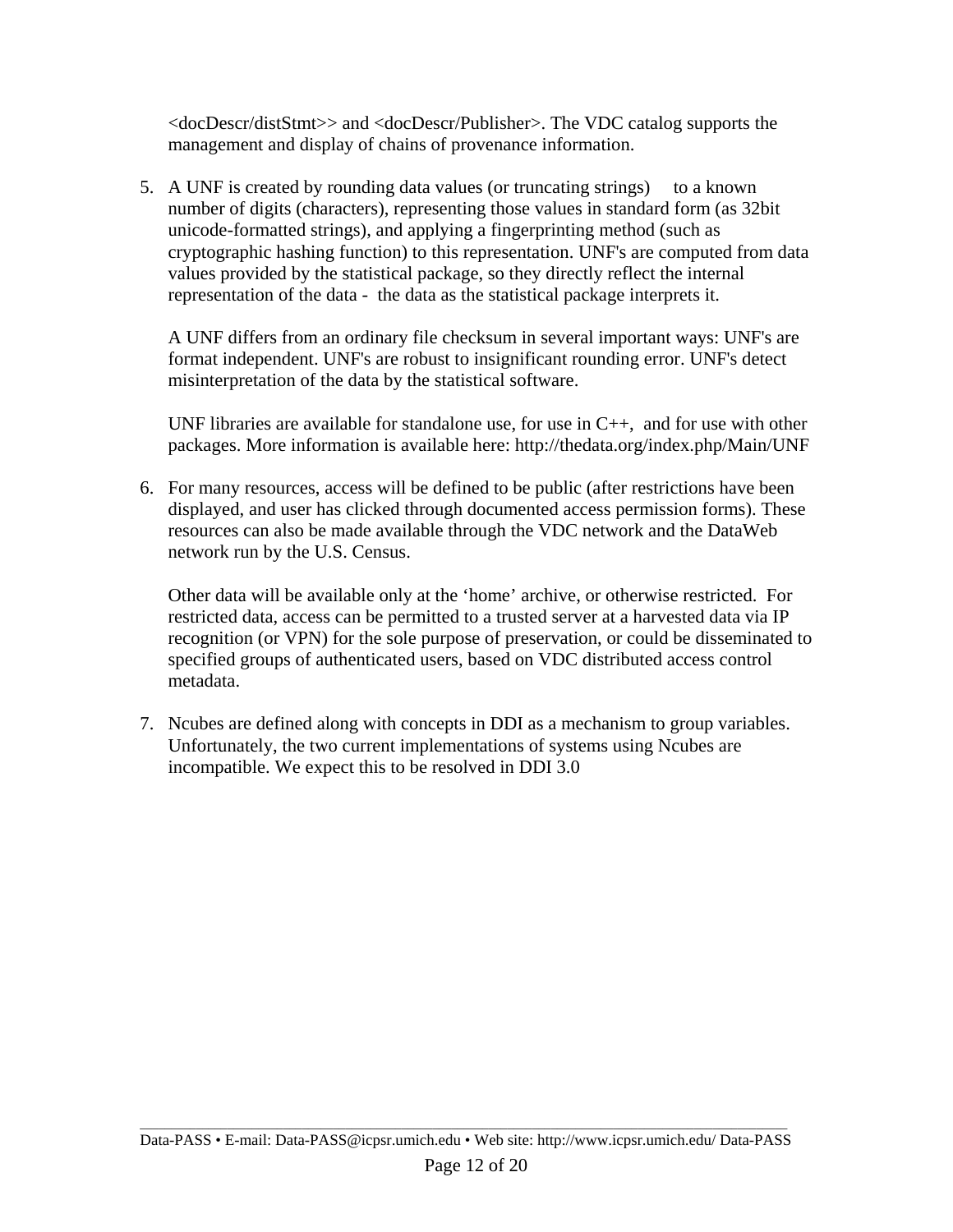<docDescr/distStmt>> and <docDescr/Publisher>. The VDC catalog supports the management and display of chains of provenance information.

5. A UNF is created by rounding data values (or truncating strings) to a known number of digits (characters), representing those values in standard form (as 32bit unicode-formatted strings), and applying a fingerprinting method (such as cryptographic hashing function) to this representation. UNF's are computed from data values provided by the statistical package, so they directly reflect the internal representation of the data - the data as the statistical package interprets it.

A UNF differs from an ordinary file checksum in several important ways: UNF's are format independent. UNF's are robust to insignificant rounding error. UNF's detect misinterpretation of the data by the statistical software.

UNF libraries are available for standalone use, for use in  $C_{++}$ , and for use with other packages. More information is available here: http://thedata.org/index.php/Main/UNF

6. For many resources, access will be defined to be public (after restrictions have been displayed, and user has clicked through documented access permission forms). These resources can also be made available through the VDC network and the DataWeb network run by the U.S. Census.

Other data will be available only at the 'home' archive, or otherwise restricted. For restricted data, access can be permitted to a trusted server at a harvested data via IP recognition (or VPN) for the sole purpose of preservation, or could be disseminated to specified groups of authenticated users, based on VDC distributed access control metadata.

7. Ncubes are defined along with concepts in DDI as a mechanism to group variables. Unfortunately, the two current implementations of systems using Ncubes are incompatible. We expect this to be resolved in DDI 3.0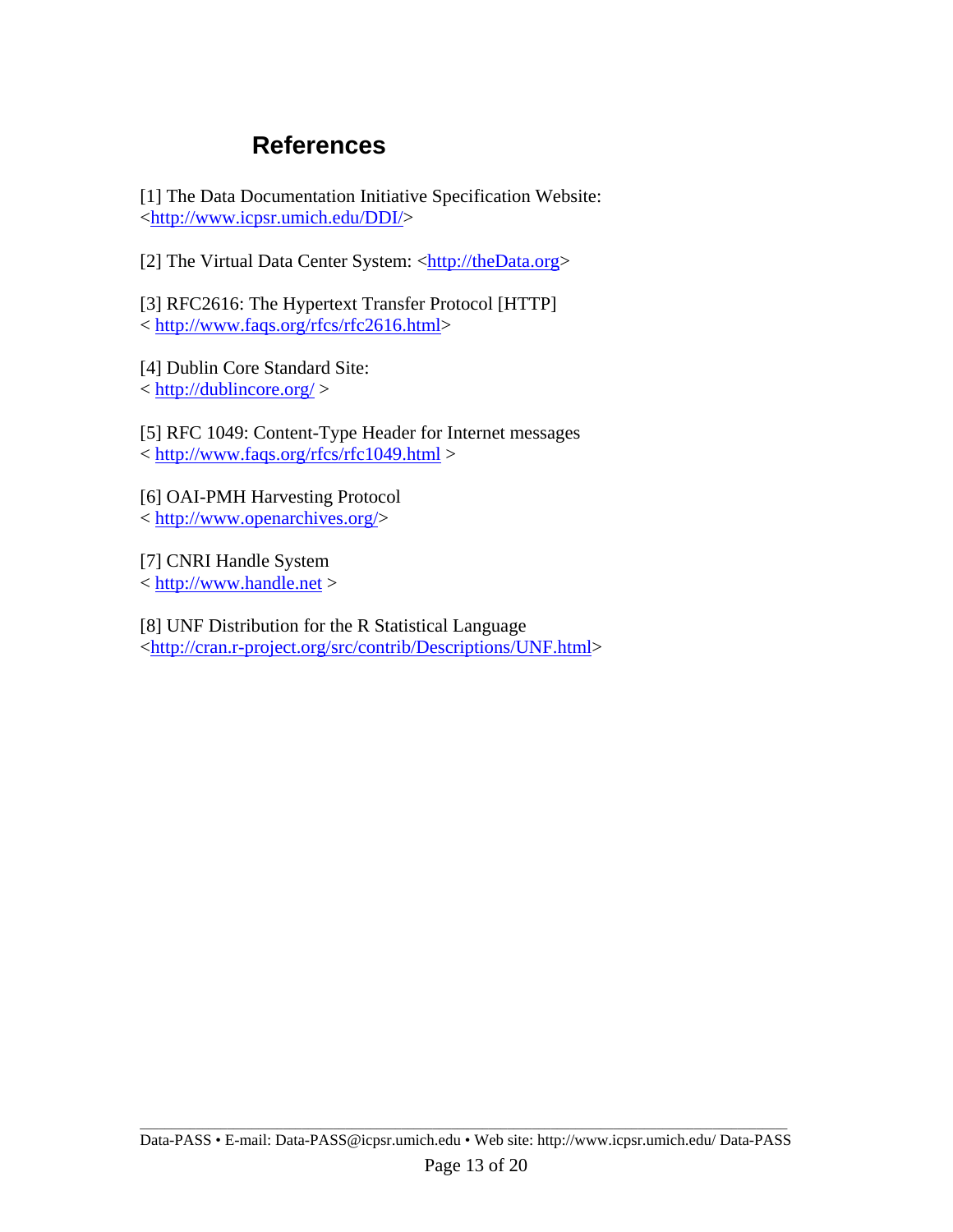### **References**

[1] The Data Documentation Initiative Specification Website: <http://www.icpsr.umich.edu/DDI/>

[2] The Virtual Data Center System: <http://theData.org>

[3] RFC2616: The Hypertext Transfer Protocol [HTTP] < http://www.faqs.org/rfcs/rfc2616.html>

[4] Dublin Core Standard Site: < http://dublincore.org/ >

[5] RFC 1049: Content-Type Header for Internet messages < http://www.faqs.org/rfcs/rfc1049.html >

[6] OAI-PMH Harvesting Protocol < http://www.openarchives.org/>

[7] CNRI Handle System < http://www.handle.net >

[8] UNF Distribution for the R Statistical Language <http://cran.r-project.org/src/contrib/Descriptions/UNF.html>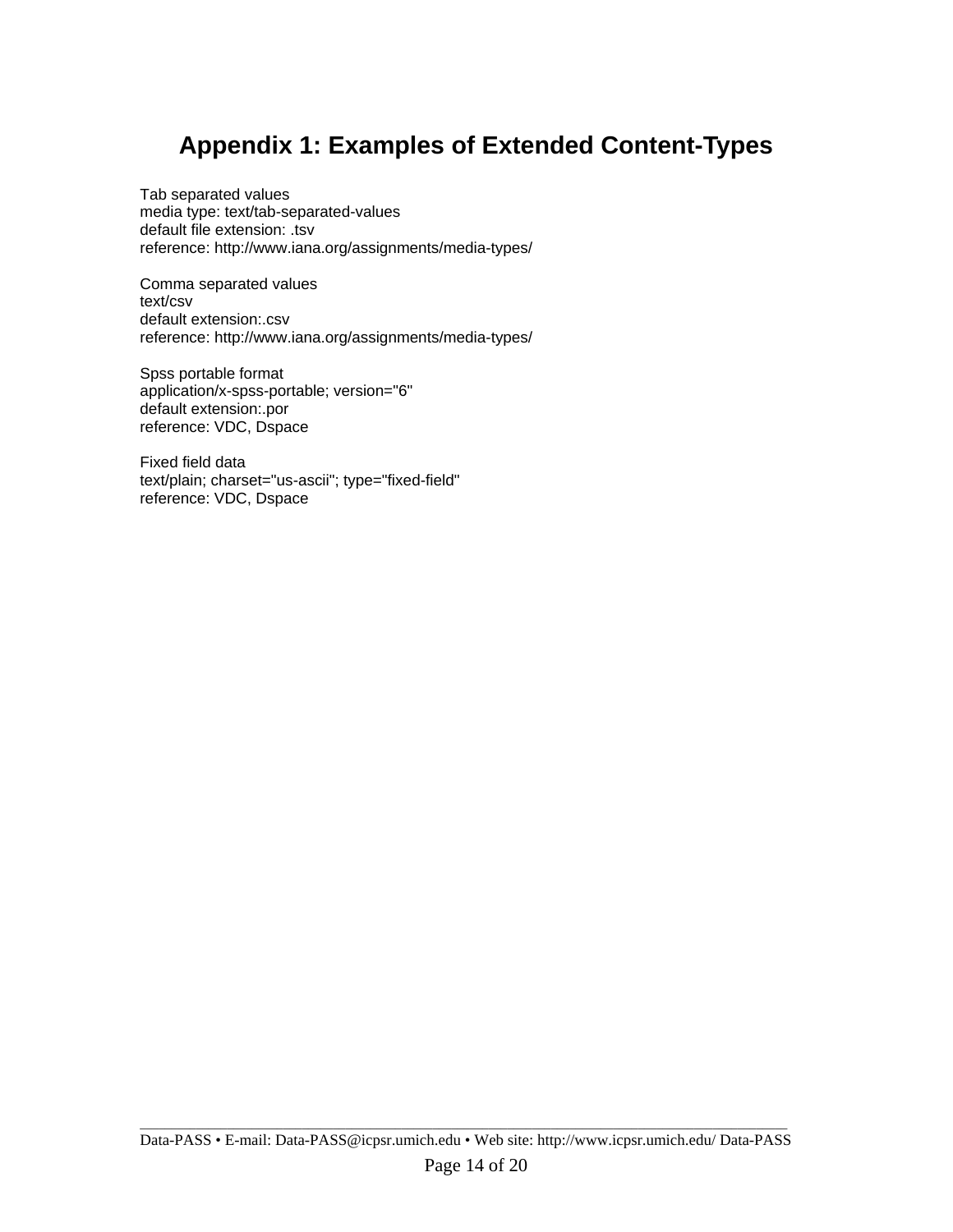## **Appendix 1: Examples of Extended Content-Types**

Tab separated values media type: text/tab-separated-values default file extension: .tsv reference: http://www.iana.org/assignments/media-types/

Comma separated values text/csv default extension:.csv reference: http://www.iana.org/assignments/media-types/

Spss portable format application/x-spss-portable; version="6" default extension:.por reference: VDC, Dspace

Fixed field data text/plain; charset="us-ascii"; type="fixed-field" reference: VDC, Dspace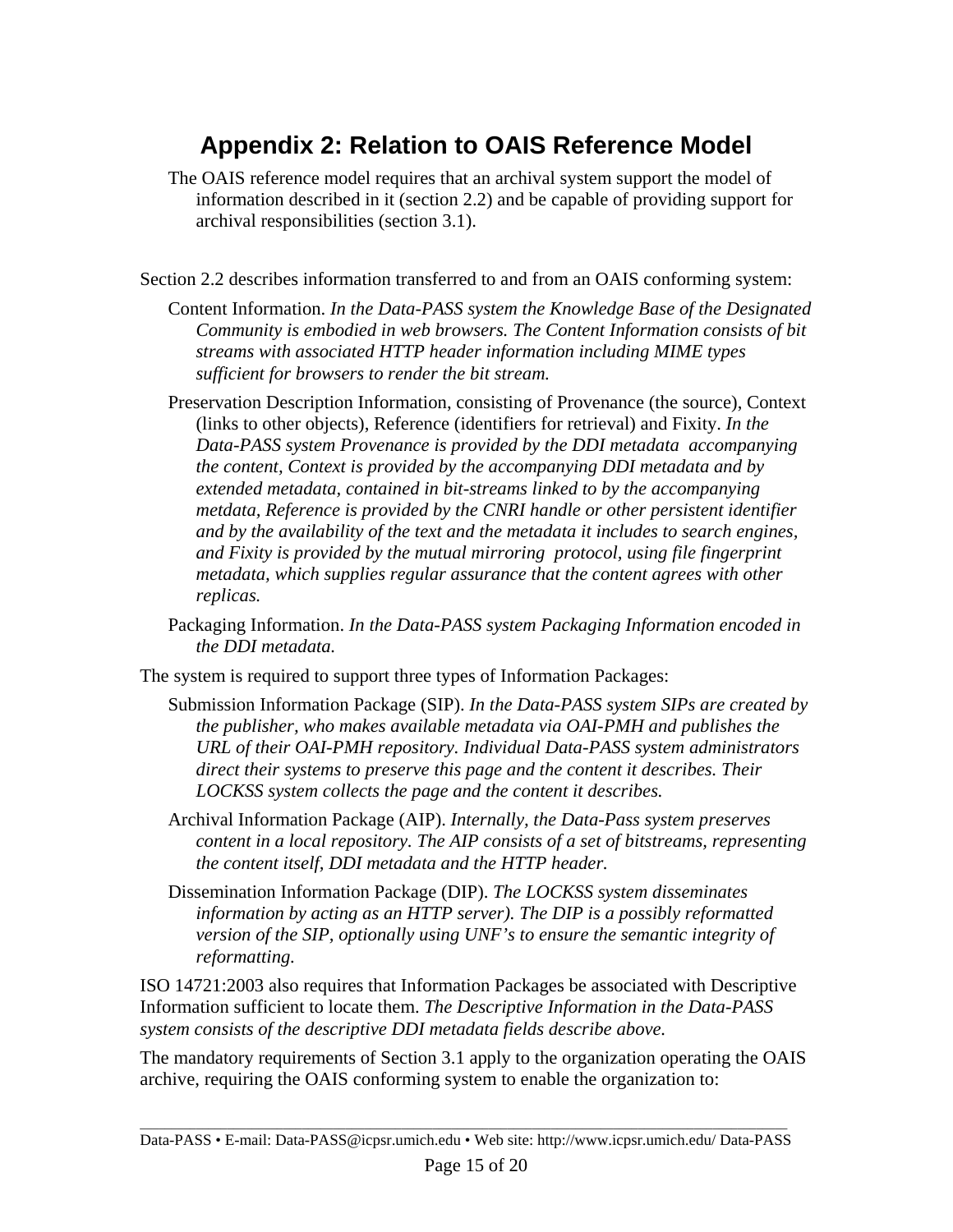## **Appendix 2: Relation to OAIS Reference Model**

- The OAIS reference model requires that an archival system support the model of information described in it (section 2.2) and be capable of providing support for archival responsibilities (section 3.1).
- Section 2.2 describes information transferred to and from an OAIS conforming system:
	- Content Information. *In the Data-PASS system the Knowledge Base of the Designated Community is embodied in web browsers. The Content Information consists of bit streams with associated HTTP header information including MIME types sufficient for browsers to render the bit stream.*
	- Preservation Description Information, consisting of Provenance (the source), Context (links to other objects), Reference (identifiers for retrieval) and Fixity. *In the Data-PASS system Provenance is provided by the DDI metadata accompanying the content, Context is provided by the accompanying DDI metadata and by extended metadata, contained in bit-streams linked to by the accompanying metdata, Reference is provided by the CNRI handle or other persistent identifier and by the availability of the text and the metadata it includes to search engines, and Fixity is provided by the mutual mirroring protocol, using file fingerprint metadata, which supplies regular assurance that the content agrees with other replicas.*
	- Packaging Information. *In the Data-PASS system Packaging Information encoded in the DDI metadata.*
- The system is required to support three types of Information Packages:
	- Submission Information Package (SIP). *In the Data-PASS system SIPs are created by the publisher, who makes available metadata via OAI-PMH and publishes the URL of their OAI-PMH repository. Individual Data-PASS system administrators direct their systems to preserve this page and the content it describes. Their LOCKSS system collects the page and the content it describes.*
	- Archival Information Package (AIP). *Internally, the Data-Pass system preserves content in a local repository. The AIP consists of a set of bitstreams, representing the content itself, DDI metadata and the HTTP header.*
	- Dissemination Information Package (DIP). *The LOCKSS system disseminates information by acting as an HTTP server). The DIP is a possibly reformatted version of the SIP, optionally using UNF's to ensure the semantic integrity of reformatting.*

ISO 14721:2003 also requires that Information Packages be associated with Descriptive Information sufficient to locate them. *The Descriptive Information in the Data-PASS system consists of the descriptive DDI metadata fields describe above.*

The mandatory requirements of Section 3.1 apply to the organization operating the OAIS archive, requiring the OAIS conforming system to enable the organization to: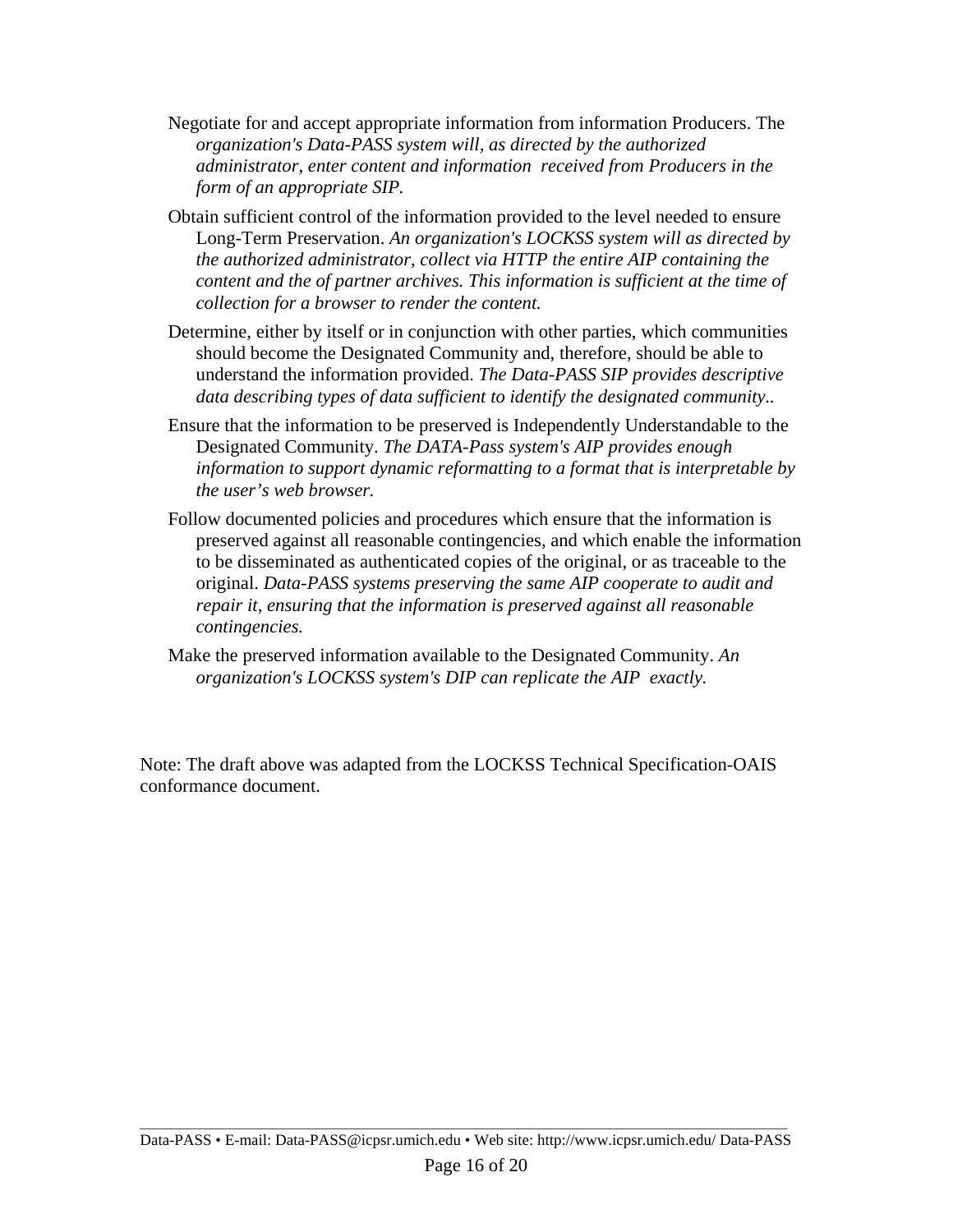- Negotiate for and accept appropriate information from information Producers. The *organization's Data-PASS system will, as directed by the authorized administrator, enter content and information received from Producers in the form of an appropriate SIP.*
- Obtain sufficient control of the information provided to the level needed to ensure Long-Term Preservation. *An organization's LOCKSS system will as directed by the authorized administrator, collect via HTTP the entire AIP containing the content and the of partner archives. This information is sufficient at the time of collection for a browser to render the content.*
- Determine, either by itself or in conjunction with other parties, which communities should become the Designated Community and, therefore, should be able to understand the information provided. *The Data-PASS SIP provides descriptive data describing types of data sufficient to identify the designated community..*
- Ensure that the information to be preserved is Independently Understandable to the Designated Community. *The DATA-Pass system's AIP provides enough information to support dynamic reformatting to a format that is interpretable by the user's web browser.*
- Follow documented policies and procedures which ensure that the information is preserved against all reasonable contingencies, and which enable the information to be disseminated as authenticated copies of the original, or as traceable to the original. *Data-PASS systems preserving the same AIP cooperate to audit and repair it, ensuring that the information is preserved against all reasonable contingencies.*
- Make the preserved information available to the Designated Community. *An organization's LOCKSS system's DIP can replicate the AIP exactly.*

Note: The draft above was adapted from the LOCKSS Technical Specification-OAIS conformance document.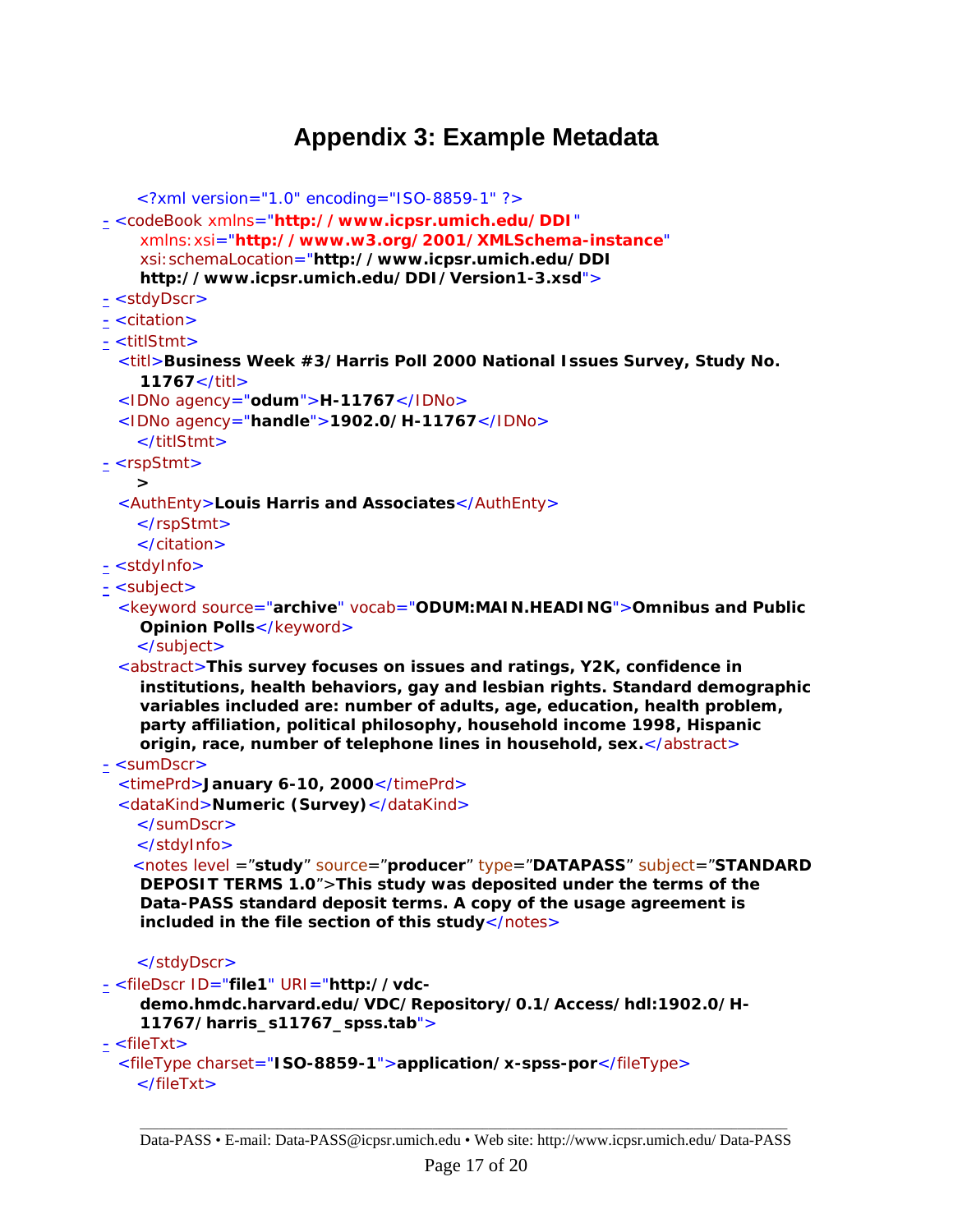### **Appendix 3: Example Metadata**

```
<?xml version="1.0" encoding="ISO-8859-1" ?> 
- <codeBook xmlns="http://www.icpsr.umich.edu/DDI"
    xmlns:xsi="http://www.w3.org/2001/XMLSchema-instance"
    xsi:schemaLocation="http://www.icpsr.umich.edu/DDI 
    http://www.icpsr.umich.edu/DDI/Version1-3.xsd"> 
- <stdyDscr> 
- <citation> 
- <titlStmt> 
 <titl>Business Week #3/Harris Poll 2000 National Issues Survey, Study No. 
    11767</titl> 
 <IDNo agency="odum">H-11767</IDNo> 
 <IDNo agency="handle">1902.0/H-11767</IDNo> 
   </titlStmt> 
- <rspStmt> 
   > 
 <AuthEnty>Louis Harris and Associates</AuthEnty> 
   </rspStmt> 
   </citation> 
- <stdyInfo> 
- <subject> 
 <keyword source="archive" vocab="ODUM:MAIN.HEADING">Omnibus and Public 
    Opinion Polls</keyword>
   </subject> 
 <abstract>This survey focuses on issues and ratings, Y2K, confidence in 
    institutions, health behaviors, gay and lesbian rights. Standard demographic 
    variables included are: number of adults, age, education, health problem, 
    party affiliation, political philosophy, household income 1998, Hispanic 
    origin, race, number of telephone lines in household, sex.</abstract> 
- <sumDscr> 
 <timePrd>January 6-10, 2000</timePrd> 
 <dataKind>Numeric (Survey)</dataKind> 
   </sumDscr> 
   </stdyInfo> 
   <notes level ="study" source="producer" type="DATAPASS" subject="STANDARD 
    DEPOSIT TERMS 1.0">This study was deposited under the terms of the 
    Data-PASS standard deposit terms. A copy of the usage agreement is 
    included in the file section of this study</notes> 
   </stdyDscr> 
- <fileDscr ID="file1" URI="http://vdc-
    demo.hmdc.harvard.edu/VDC/Repository/0.1/Access/hdl:1902.0/H-
    11767/harris_s11767_spss.tab"> 
- <fileTxt>
 <fileType charset="ISO-8859-1">application/x-spss-por</fileType> 
   </fileTxt>
```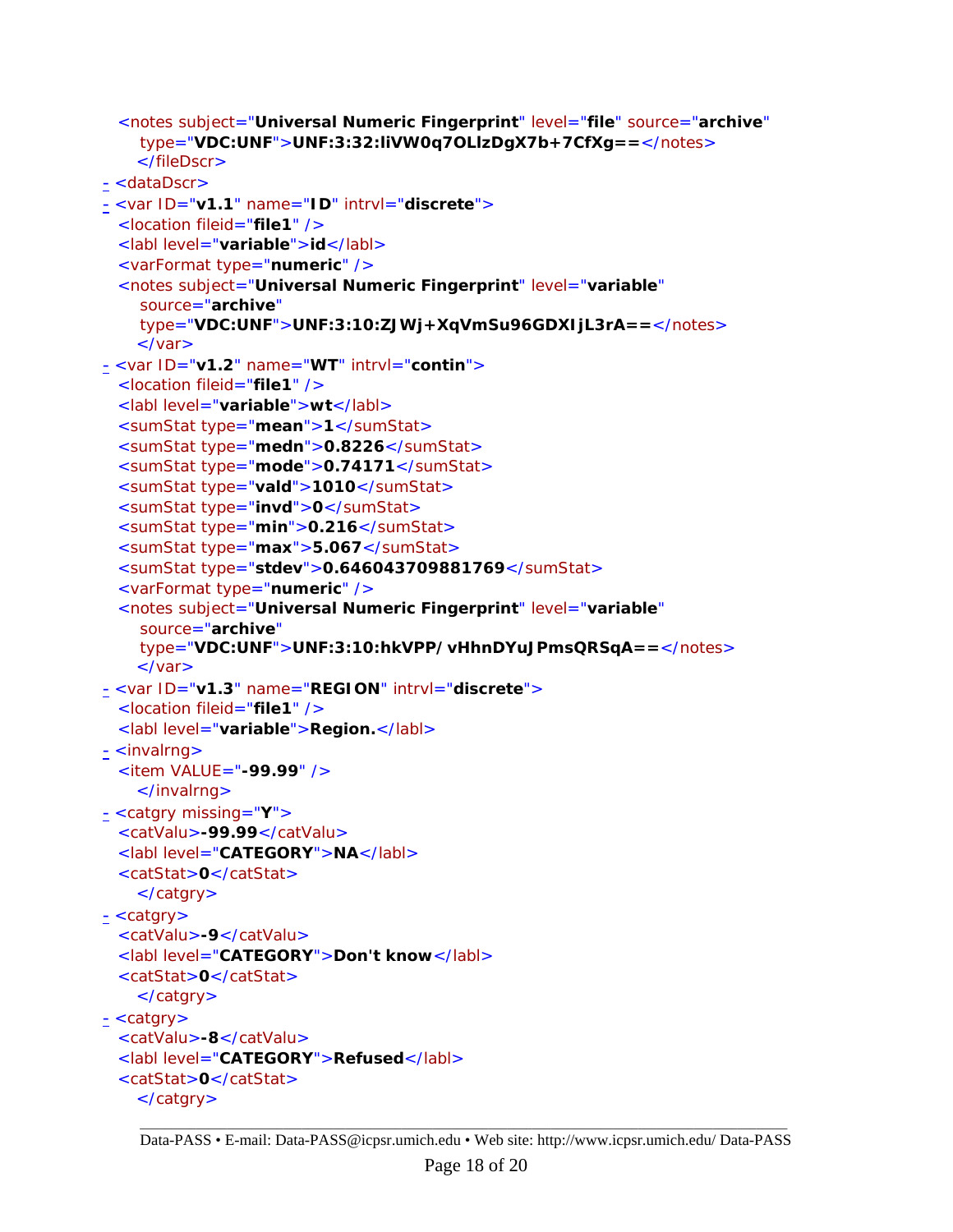```
<notes subject="Universal Numeric Fingerprint" level="file" source="archive"
    type="VDC:UNF">UNF:3:32:liVW0q7OLlzDgX7b+7CfXg==</notes> 
    </fileDscr> 
- <dataDscr> 
- <var ID="v1.1" name="ID" intrvl="discrete"> 
 <location fileid="file1" /> 
 <labl level="variable">id</labl> 
 <varFormat type="numeric" /> 
 <notes subject="Universal Numeric Fingerprint" level="variable"
    source="archive"
    type="VDC:UNF">UNF:3:10:ZJWj+XqVmSu96GDXIjL3rA==</notes> 
    </var> 
- <var ID="v1.2" name="WT" intrvl="contin"> 
 <location fileid="file1" /> 
 <labl level="variable">wt</labl> 
 <sumStat type="mean">1</sumStat> 
 <sumStat type="medn">0.8226</sumStat> 
 <sumStat type="mode">0.74171</sumStat> 
 <sumStat type="vald">1010</sumStat> 
 <sumStat type="invd">0</sumStat> 
 <sumStat type="min">0.216</sumStat> 
 <sumStat type="max">5.067</sumStat> 
 <sumStat type="stdev">0.646043709881769</sumStat> 
 <varFormat type="numeric" /> 
 <notes subject="Universal Numeric Fingerprint" level="variable"
    source="archive"
    type="VDC:UNF">UNF:3:10:hkVPP/vHhnDYuJPmsQRSqA==</notes> 
    </var> 
- <var ID="v1.3" name="REGION" intrvl="discrete"> 
 <location fileid="file1" /> 
 <labl level="variable">Region.</labl> 
- <invalrng>
 <item VALUE="-99.99" /> 
    </invalrng> 
- <catgry missing="Y"> 
 <catValu>-99.99</catValu> 
 <labl level="CATEGORY">NA</labl> 
 <catStat>0</catStat> 
    </catgry> 
- <catgry>
 <catValu>-9</catValu> 
 <labl level="CATEGORY">Don't know</labl> 
 <catStat>0</catStat> 
   </catgry> 
- <catgry> 
 <catValu>-8</catValu> 
 <labl level="CATEGORY">Refused</labl> 
 <catStat>0</catStat> 
    </catgry>
```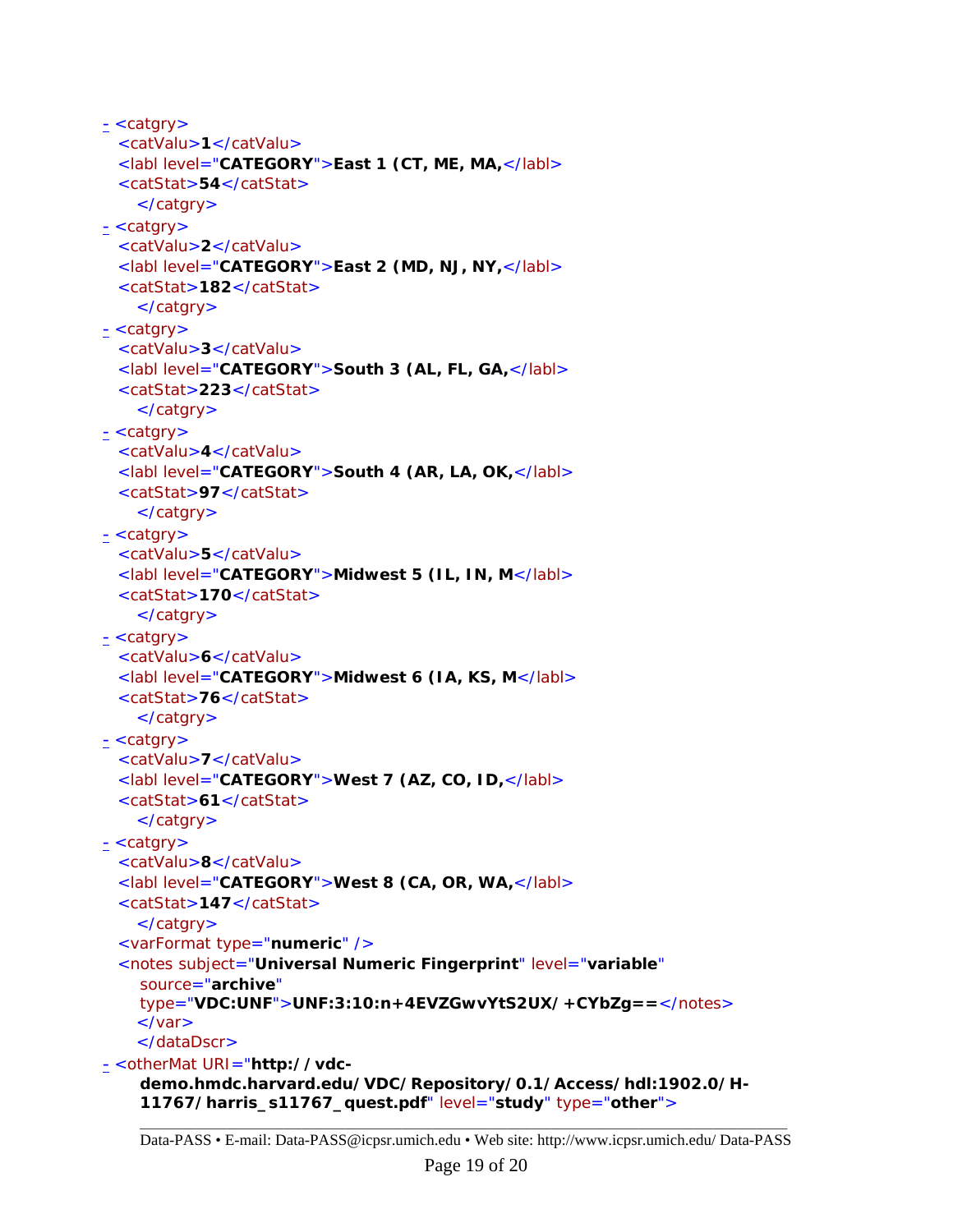```
- <catgry> 
 <catValu>1</catValu> 
 <labl level="CATEGORY">East 1 (CT, ME, MA,</labl> 
 <catStat>54</catStat> 
    </catgry> 
- <catgry> 
 <catValu>2</catValu> 
 <labl level="CATEGORY">East 2 (MD, NJ, NY,</labl> 
 <catStat>182</catStat> 
    </catgry> 
\leq <catgry>
 <catValu>3</catValu> 
 <labl level="CATEGORY">South 3 (AL, FL, GA,</labl> 
 <catStat>223</catStat> 
    </catgry> 
\leq <catgry>
 <catValu>4</catValu> 
 <labl level="CATEGORY">South 4 (AR, LA, OK,</labl> 
 <catStat>97</catStat> 
    </catgry> 
\leq <catgry>
 <catValu>5</catValu> 
 <labl level="CATEGORY">Midwest 5 (IL, IN, M</labl> 
 <catStat>170</catStat> 
    </catgry> 
\leq <catgry>
 <catValu>6</catValu> 
 <labl level="CATEGORY">Midwest 6 (IA, KS, M</labl> 
 <catStat>76</catStat> 
    </catgry> 
\leq <catgry>
 <catValu>7</catValu> 
  <labl level="CATEGORY">West 7 (AZ, CO, ID,</labl> 
 <catStat>61</catStat> 
    </catgry> 
\frac{1}{2} <catgry>
 <catValu>8</catValu> 
 <labl level="CATEGORY">West 8 (CA, OR, WA,</labl> 
 <catStat>147</catStat> 
    </catgry> 
 <varFormat type="numeric" /> 
 <notes subject="Universal Numeric Fingerprint" level="variable"
    source="archive"
    type="VDC:UNF">UNF:3:10:n+4EVZGwvYtS2UX/+CYbZg==</notes> 
    \langle/var\rangle</dataDscr> 
- <otherMat URI="http://vdc-
    demo.hmdc.harvard.edu/VDC/Repository/0.1/Access/hdl:1902.0/H-
```

```
11767/harris_s11767_quest.pdf" level="study" type="other">
```